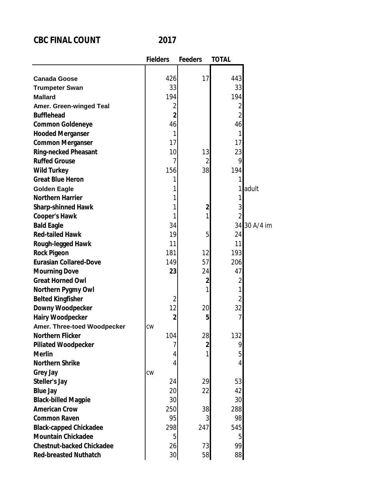## **CBC FINAL COUNT 2017**

|                                  | <b>Fielders</b> | <b>Feeders</b> | <b>TOTAL</b>   |              |
|----------------------------------|-----------------|----------------|----------------|--------------|
|                                  |                 |                |                |              |
| <b>Canada Goose</b>              | 426             | 17             | 443            |              |
| <b>Trumpeter Swan</b>            | 33              |                | 33             |              |
| <b>Mallard</b>                   | 194             |                | 194            |              |
| <b>Amer. Green-winged Teal</b>   | 2               |                | 2              |              |
| <b>Bufflehead</b>                | $\overline{2}$  |                | $\overline{2}$ |              |
| <b>Common Goldeneye</b>          | 46              |                | 46             |              |
| <b>Hooded Merganser</b>          | 1               |                | 1              |              |
| <b>Common Merganser</b>          | 17              |                | 17             |              |
| <b>Ring-necked Pheasant</b>      | 10              | 13             | 23             |              |
| <b>Ruffed Grouse</b>             | 7               | 2              | 9              |              |
| <b>Wild Turkey</b>               | 156             | 38             | 194            |              |
| <b>Great Blue Heron</b>          | 1               |                | 1              |              |
| <b>Golden Eagle</b>              | 1               |                | 1              | adult        |
| <b>Northern Harrier</b>          | 1               |                | 1              |              |
| <b>Sharp-shinned Hawk</b>        | 1               | $\overline{2}$ | 3              |              |
| <b>Cooper's Hawk</b>             | 1               | 1              | 2              |              |
| <b>Bald Eagle</b>                | 34              |                |                | 34 30 A/4 im |
| <b>Red-tailed Hawk</b>           | 19              | 5              | 24             |              |
| Rough-legged Hawk                | 11              |                | 11             |              |
| <b>Rock Pigeon</b>               | 181             | 12             | 193            |              |
| <b>Eurasian Collared-Dove</b>    | 149             | 57             | 206            |              |
| <b>Mourning Dove</b>             | 23              | 24             | 47             |              |
| <b>Great Horned Owl</b>          |                 | $\mathbf{2}$   | 2              |              |
| Northern Pygmy Owl               |                 | 1              | 1              |              |
| <b>Belted Kingfisher</b>         | $\overline{2}$  |                | 2              |              |
| <b>Downy Woodpecker</b>          | 12              | 20             | 32             |              |
| <b>Hairy Woodpecker</b>          | $\overline{2}$  | 5              |                |              |
| Amer. Three-toed Woodpecker      | <b>CW</b>       |                |                |              |
| <b>Northern Flicker</b>          | 104             | 28             | 132            |              |
| <b>Piliated Woodpecker</b>       | 7               | 2              | 9              |              |
| <b>Merlin</b>                    | 4               | 1              | $\overline{5}$ |              |
| <b>Northern Shrike</b>           | 4               |                | 4              |              |
| <b>Grey Jay</b>                  | CW              |                |                |              |
| <b>Steller's Jay</b>             | 24              | 29             | 53             |              |
| <b>Blue Jay</b>                  | 20              | 22             | 42             |              |
| <b>Black-billed Magpie</b>       | 30              |                | 30             |              |
| <b>American Crow</b>             | 250             | 38             | 288            |              |
| <b>Common Raven</b>              | 95              | 3              | 98             |              |
| <b>Black-capped Chickadee</b>    | 298             | 247            | 545            |              |
| <b>Mountain Chickadee</b>        | 5               |                | 5              |              |
| <b>Chestnut-backed Chickadee</b> | 26              | 73             | 99             |              |
| <b>Red-breasted Nuthatch</b>     | 30              | 58             | 88             |              |